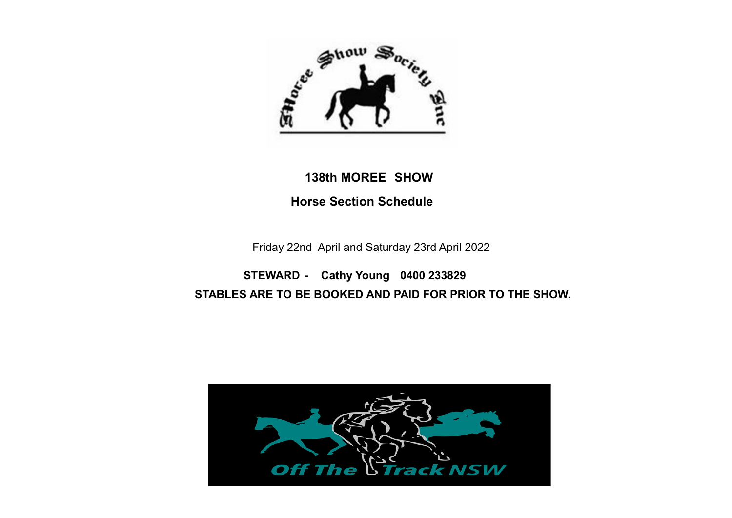

# **138th MOREE SHOW Horse Section Schedule**

Friday 22nd April and Saturday 23rd April 2022

 **STEWARD - Cathy Young 0400 233829 STABLES ARE TO BE BOOKED AND PAID FOR PRIOR TO THE SHOW.** 

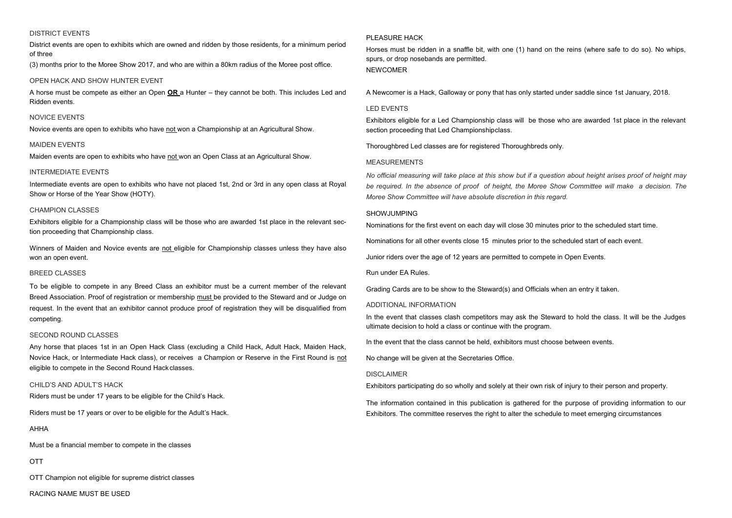### DISTRICT EVENTS

District events are open to exhibits which are owned and ridden by those residents, for a minimum period of three

(3) months prior to the Moree Show 2017, and who are within a 80km radius of the Moree post office.

### OPEN HACK AND SHOW HUNTER EVENT

A horse must be compete as either an Open **OR** a Hunter – they cannot be both. This includes Led and Ridden events.

### NOVICE EVENTS

Novice events are open to exhibits who have not won a Championship at an Agricultural Show.

### MAIDEN EVENTS

Maiden events are open to exhibits who have not won an Open Class at an Agricultural Show.

### INTERMEDIATE EVENTS

Intermediate events are open to exhibits who have not placed 1st, 2nd or 3rd in any open class at Royal Show or Horse of the Year Show (HOTY).

### CHAMPION CLASSES

Exhibitors eligible for a Championship class will be those who are awarded 1st place in the relevant section proceeding that Championship class.

Winners of Maiden and Novice events are not eligible for Championship classes unless they have also won an open event.

### BREED CLASSES

To be eligible to compete in any Breed Class an exhibitor must be a current member of the relevant Breed Association. Proof of registration or membership must be provided to the Steward and or Judge on request. In the event that an exhibitor cannot produce proof of registration they will be disqualified from competing.

### SECOND ROUND CLASSES

Any horse that places 1st in an Open Hack Class (excluding a Child Hack, Adult Hack, Maiden Hack, Novice Hack, or Intermediate Hack class), or receives a Champion or Reserve in the First Round is not eligible to compete in the Second Round Hack classes.

### CHILD'S AND ADULT'S HACK

Riders must be under 17 years to be eligible for the Child's Hack.

Riders must be 17 years or over to be eligible for the Adult's Hack.

AHHA

Must be a financial member to compete in the classes

OTT

OTT Champion not eligible for supreme district classes

RACING NAME MUST BE USED

### **PLEASURE HACK**

Horses must be ridden in a snaffle bit, with one (1) hand on the reins (where safe to do so). No whips, spurs, or drop nosebands are permitted. NEWCOMER

A Newcomer is a Hack, Galloway or pony that has only started under saddle since 1st January, 2018.

### LED EVENTS

Exhibitors eligible for a Led Championship class will be those who are awarded 1st place in the relevant section proceeding that Led Championshipclass.

Thoroughbred Led classes are for registered Thoroughbreds only.

### MEASUREMENTS

*No official measuring will take place at this show but if a question about height arises proof of height may be required. In the absence of proof of height, the Moree Show Committee will make a decision. The Moree Show Committee will have absolute discretion in this regard.*

### SHOWJUMPING

Nominations for the first event on each day will close 30 minutes prior to the scheduled start time.

Nominations for all other events close 15 minutes prior to the scheduled start of each event.

Junior riders over the age of 12 years are permitted to compete in Open Events.

Run under EA Rules.

Grading Cards are to be show to the Steward(s) and Officials when an entry it taken.

### ADDITIONAL INFORMATION

In the event that classes clash competitors may ask the Steward to hold the class. It will be the Judges ultimate decision to hold a class or continue with the program.

In the event that the class cannot be held, exhibitors must choose between events.

No change will be given at the Secretaries Office.

### DISCLAIMER

Exhibitors participating do so wholly and solely at their own risk of injury to their person and property.

The information contained in this publication is gathered for the purpose of providing information to our Exhibitors. The committee reserves the right to alter the schedule to meet emerging circumstances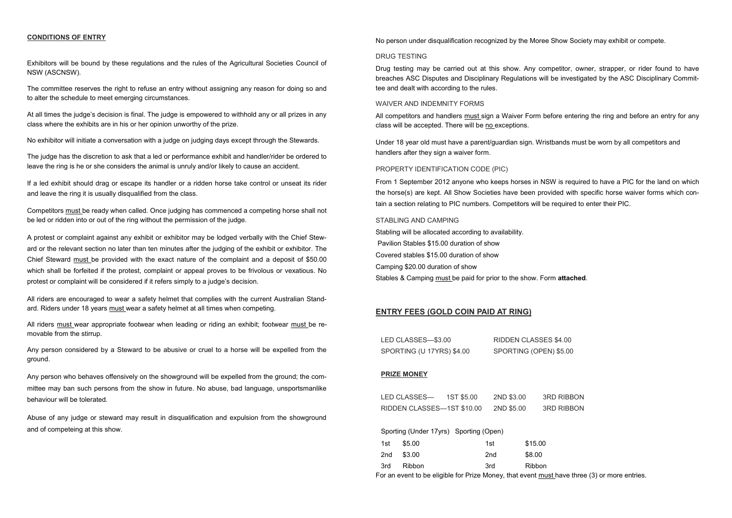### **CONDITIONS OF ENTRY**

Exhibitors will be bound by these regulations and the rules of the Agricultural Societies Council of NSW (ASCNSW).

The committee reserves the right to refuse an entry without assigning any reason for doing so and to alter the schedule to meet emerging circumstances.

At all times the judge's decision is final. The judge is empowered to withhold any or all prizes in any class where the exhibits are in his or her opinion unworthy of the prize.

No exhibitor will initiate a conversation with a judge on judging days except through the Stewards.

The judge has the discretion to ask that a led or performance exhibit and handler/rider be ordered to leave the ring is he or she considers the animal is unruly and/or likely to cause an accident.

If a led exhibit should drag or escape its handler or a ridden horse take control or unseat its rider and leave the ring it is usually disqualified from the class.

Competitors must be ready when called. Once judging has commenced a competing horse shall not be led or ridden into or out of the ring without the permission of the judge.

A protest or complaint against any exhibit or exhibitor may be lodged verbally with the Chief Steward or the relevant section no later than ten minutes after the judging of the exhibit or exhibitor. The Chief Steward must be provided with the exact nature of the complaint and a deposit of \$50.00 which shall be forfeited if the protest, complaint or appeal proves to be frivolous or vexatious. No protest or complaint will be considered if it refers simply to a judge's decision.

All riders are encouraged to wear a safety helmet that complies with the current Australian Standard. Riders under 18 years must wear a safety helmet at all times when competing.

All riders must wear appropriate footwear when leading or riding an exhibit; footwear must be removable from the stirrup.

Any person considered by a Steward to be abusive or cruel to a horse will be expelled from the ground.

Any person who behaves offensively on the showground will be expelled from the ground; the committee may ban such persons from the show in future. No abuse, bad language, unsportsmanlike behaviour will be tolerated.

Abuse of any judge or steward may result in disqualification and expulsion from the showground and of competeing at this show.

No person under disqualification recognized by the Moree Show Society may exhibit or compete.

### DRUG TESTING

Drug testing may be carried out at this show. Any competitor, owner, strapper, or rider found to have breaches ASC Disputes and Disciplinary Regulations will be investigated by the ASC Disciplinary Committee and dealt with according to the rules.

#### WAIVER AND INDEMNITY FORMS

All competitors and handlers must sign a Waiver Form before entering the ring and before an entry for any class will be accepted. There will be no exceptions.

Under 18 year old must have a parent/guardian sign. Wristbands must be worn by all competitors and handlers after they sign a waiver form.

### PROPERTY IDENTIFICATION CODE (PIC)

From 1 September 2012 anyone who keeps horses in NSW is required to have a PIC for the land on which the horse(s) are kept. All Show Societies have been provided with specific horse waiver forms which contain a section relating to PIC numbers. Competitors will be required to enter their PIC.

### STABLING AND CAMPING

Stabling will be allocated according to availability. Pavilion Stables \$15.00 duration of show Covered stables \$15.00 duration of show Camping \$20.00 duration of show Stables & Camping must be paid for prior to the show. Form **attached**.

### **ENTRY FEES (GOLD COIN PAID AT RING)**

| LED CLASSES—\$3.00        | RIDDEN CLASSES \$4.00  |
|---------------------------|------------------------|
| SPORTING (U 17YRS) \$4.00 | SPORTING (OPEN) \$5.00 |

#### **PRIZE MONEY**

| LED CLASSES—               | 1ST \$5.00 | 2ND \$3.00 | <b>3RD RIBBON</b> |
|----------------------------|------------|------------|-------------------|
| RIDDEN CLASSES—1ST \$10.00 |            | 2ND \$5.00 | <b>3RD RIBBON</b> |

Sporting (Under 17yrs) Sporting (Open)

| 1st | \$5.00 | 1st             | \$15.00       |
|-----|--------|-----------------|---------------|
| 2nd | \$3.00 | 2 <sub>nd</sub> | \$8.00        |
| 3rd | Ribbon | 3rd             | <b>Ribbon</b> |

For an event to be eligible for Prize Money, that event must have three (3) or more entries.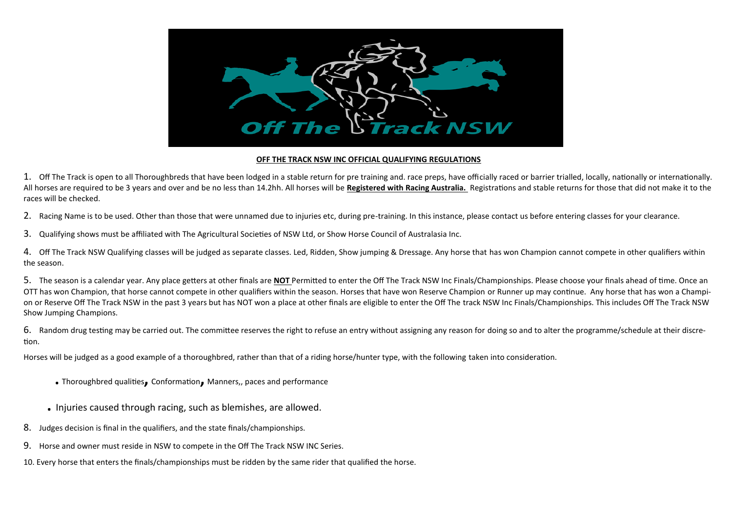

### **OFF THE TRACK NSW INC OFFICIAL QUALIFYING REGULATIONS**

1. Off The Track is open to all Thoroughbreds that have been lodged in a stable return for pre training and. race preps, have officially raced or barrier trialled, locally, nationally or internationally. All horses are required to be 3 years and over and be no less than 14.2hh. All horses will be **Registered with Racing Australia.** Registrations and stable returns for those that did not make it to the races will be checked.

2. Racing Name is to be used. Other than those that were unnamed due to injuries etc, during pre-training. In this instance, please contact us before entering classes for your clearance.

3. Qualifying shows must be affiliated with The Agricultural Societies of NSW Ltd, or Show Horse Council of Australasia Inc.

4. Off The Track NSW Qualifying classes will be judged as separate classes. Led, Ridden, Show jumping & Dressage. Any horse that has won Champion cannot compete in other qualifiers within the season.

5. The season is a calendar year. Any place getters at other finals are **NOT** Permitted to enter the Off The Track NSW Inc Finals/Championships. Please choose your finals ahead of time. Once an OTT has won Champion, that horse cannot compete in other qualifiers within the season. Horses that have won Reserve Champion or Runner up may continue. Any horse that has won a Champion or Reserve Off The Track NSW in the past 3 years but has NOT won a place at other finals are eligible to enter the Off The track NSW Inc Finals/Championships. This includes Off The Track NSW Show Jumping Champions.

6. Random drug testing may be carried out. The committee reserves the right to refuse an entry without assigning any reason for doing so and to alter the programme/schedule at their discretion.

Horses will be judged as a good example of a thoroughbred, rather than that of a riding horse/hunter type, with the following taken into consideration.

- **.** Thoroughbred qualities**,** Conformation**,** Manners,, paces and performance
- **.** Injuries caused through racing, such as blemishes, are allowed.
- 8. Judges decision is final in the qualifiers, and the state finals/championships.
- 9. Horse and owner must reside in NSW to compete in the Off The Track NSW INC Series.

10. Every horse that enters the finals/championships must be ridden by the same rider that qualified the horse.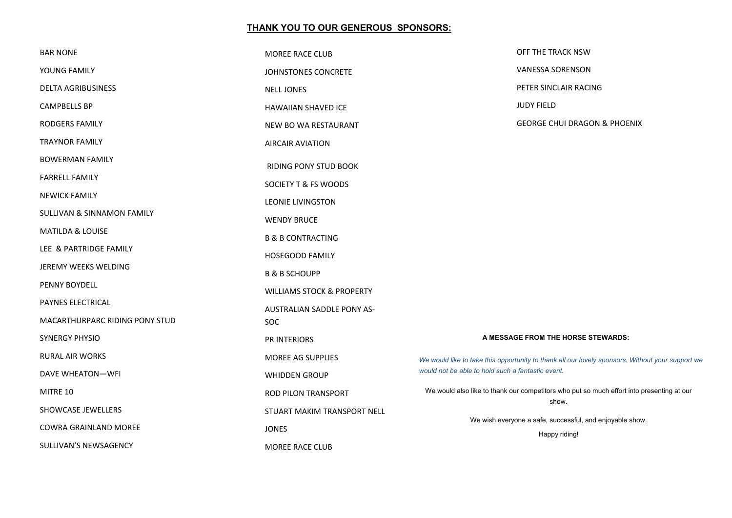## **THANK YOU TO OUR GENEROUS SPONSORS:**

| <b>BAR NONE</b>                       | MOREE RACE CLUB                      | OFF THE TRACK NSW                                                                                |
|---------------------------------------|--------------------------------------|--------------------------------------------------------------------------------------------------|
| YOUNG FAMILY                          | JOHNSTONES CONCRETE                  | <b>VANESSA SORENSON</b>                                                                          |
| <b>DELTA AGRIBUSINESS</b>             | <b>NELL JONES</b>                    | PETER SINCLAIR RACING                                                                            |
| CAMPBELLS BP                          | HAWAIIAN SHAVED ICE                  | <b>JUDY FIELD</b>                                                                                |
| <b>RODGERS FAMILY</b>                 | NEW BO WA RESTAURANT                 | <b>GEORGE CHUI DRAGON &amp; PHOENIX</b>                                                          |
| <b>TRAYNOR FAMILY</b>                 | <b>AIRCAIR AVIATION</b>              |                                                                                                  |
| <b>BOWERMAN FAMILY</b>                | RIDING PONY STUD BOOK                |                                                                                                  |
| <b>FARRELL FAMILY</b>                 | SOCIETY T & FS WOODS                 |                                                                                                  |
| <b>NEWICK FAMILY</b>                  | <b>LEONIE LIVINGSTON</b>             |                                                                                                  |
| <b>SULLIVAN &amp; SINNAMON FAMILY</b> | <b>WENDY BRUCE</b>                   |                                                                                                  |
| MATILDA & LOUISE                      | <b>B &amp; B CONTRACTING</b>         |                                                                                                  |
| LEE & PARTRIDGE FAMILY                | <b>HOSEGOOD FAMILY</b>               |                                                                                                  |
| JEREMY WEEKS WELDING                  | <b>B &amp; B SCHOUPP</b>             |                                                                                                  |
| PENNY BOYDELL                         | <b>WILLIAMS STOCK &amp; PROPERTY</b> |                                                                                                  |
| PAYNES ELECTRICAL                     | AUSTRALIAN SADDLE PONY AS-           |                                                                                                  |
| MACARTHURPARC RIDING PONY STUD        | <b>SOC</b>                           |                                                                                                  |
| SYNERGY PHYSIO                        | PR INTERIORS                         | A MESSAGE FROM THE HORSE STEWARDS:                                                               |
| <b>RURAL AIR WORKS</b>                | MOREE AG SUPPLIES                    | We would like to take this opportunity to thank all our lovely sponsors. Without your support we |
| <b>DAVE WHEATON-WFI</b>               | <b>WHIDDEN GROUP</b>                 | would not be able to hold such a fantastic event.                                                |
| MITRE 10                              | ROD PILON TRANSPORT                  | We would also like to thank our competitors who put so much effort into presenting at our        |
| SHOWCASE JEWELLERS                    | STUART MAKIM TRANSPORT NELL          | show.                                                                                            |
| COWRA GRAINLAND MOREE                 | <b>JONES</b>                         | We wish everyone a safe, successful, and enjoyable show.                                         |
| SULLIVAN'S NEWSAGENCY                 | MOREE RACE CLUB                      | Happy riding!                                                                                    |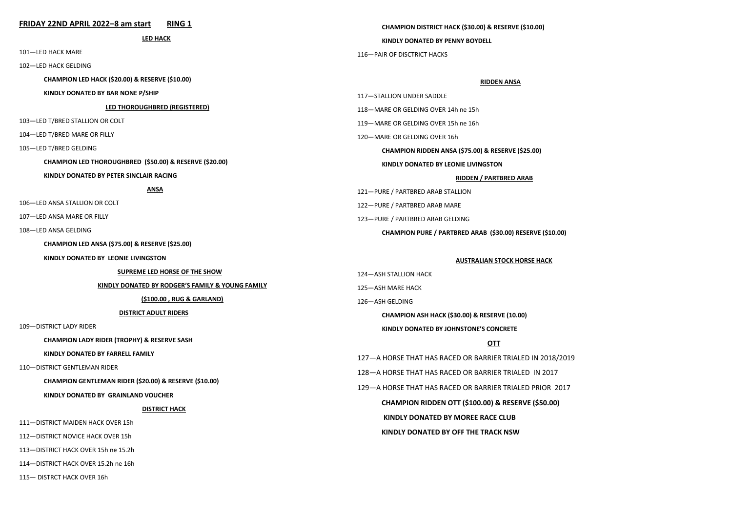#### **FRIDAY 22ND APRIL 2022–8 am start RING 1 LED HACK** 101—LED HACK MARE 102—LED HACK GELDING **CHAMPION LED HACK (\$20.00) & RESERVE (\$10.00) KINDLY DONATED BY BAR NONE P/SHIP LED THOROUGHBRED (REGISTERED)** 103—LED T/BRED STALLION OR COLT 104—LED T/BRED MARE OR FILLY 105—LED T/BRED GELDING **CHAMPION LED THOROUGHBRED (\$50.00) & RESERVE (\$20.00) KINDLY DONATED BY PETER SINCLAIR RACING ANSA** 106—LED ANSA STALLION OR COLT 107—LED ANSA MARE OR FILLY 108—LED ANSA GELDING **CHAMPION LED ANSA (\$75.00) & RESERVE (\$25.00) KINDLY DONATED BY LEONIE LIVINGSTON SUPREME LED HORSE OF THE SHOW KINDLY DONATED BY RODGER'S FAMILY & YOUNG FAMILY (\$100.00 , RUG & GARLAND) DISTRICT ADULT RIDERS** 109—DISTRICT LADY RIDER **CHAMPION LADY RIDER (TROPHY) & RESERVE SASH KINDLY DONATED BY FARRELL FAMILY** 110—DISTRICT GENTLEMAN RIDER **CHAMPION GENTLEMAN RIDER (\$20.00) & RESERVE (\$10.00) KINDLY DONATED BY GRAINLAND VOUCHER DISTRICT HACK** 111—DISTRICT MAIDEN HACK OVER 15h 112—DISTRICT NOVICE HACK OVER 15h 113—DISTRICT HACK OVER 15h ne 15.2h 114—DISTRICT HACK OVER 15.2h ne 16h **CHAMPION DISTRICT HACK (\$30.00) & RESERVE (\$10.00) KINDLY DONATED BY PENNY BOYDELL** 116—PAIR OF DISCTRICT HACKS **RIDDEN ANSA** 117—STALLION UNDER SADDLE 118—MARE OR GELDING OVER 14h ne 15h 119—MARE OR GELDING OVER 15h ne 16h 120—MARE OR GELDING OVER 16h **CHAMPION RIDDEN ANSA (\$75.00) & RESERVE (\$25.00) KINDLY DONATED BY LEONIE LIVINGSTON RIDDEN / PARTBRED ARAB** 121—PURE / PARTBRED ARAB STALLION 122—PURE / PARTBRED ARAB MARE 123—PURE / PARTBRED ARAB GELDING **CHAMPION PURE / PARTBRED ARAB (\$30.00) RESERVE (\$10.00) AUSTRALIAN STOCK HORSE HACK** 124—ASH STALLION HACK 125—ASH MARE HACK 126—ASH GELDING **CHAMPION ASH HACK (\$30.00) & RESERVE (10.00) KINDLY DONATED BY JOHNSTONE'S CONCRETE OTT** 127—A HORSE THAT HAS RACED OR BARRIER TRIALED IN 2018/2019 128—A HORSE THAT HAS RACED OR BARRIER TRIALED IN 2017 129—A HORSE THAT HAS RACED OR BARRIER TRIALED PRIOR 2017 **CHAMPION RIDDEN OTT (\$100.00) & RESERVE (\$50.00) KINDLY DONATED BY MOREE RACE CLUB KINDLY DONATED BY OFF THE TRACK NSW**

115— DISTRCT HACK OVER 16h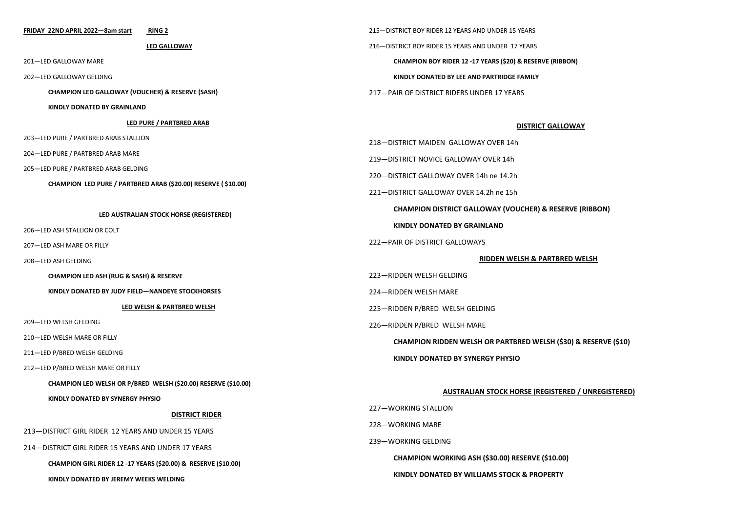#### **FRIDAY 22ND APRIL 2022—8am start RING 2**

**LED GALLOWAY**

201—LED GALLOWAY MARE

202—LED GALLOWAY GELDING

**CHAMPION LED GALLOWAY (VOUCHER) & RESERVE (SASH)**

**KINDLY DONATED BY GRAINLAND**

#### **LED PURE / PARTBRED ARAB**

203—LED PURE / PARTBRED ARAB STALLION

204—LED PURE / PARTBRED ARAB MARE

205—LED PURE / PARTBRED ARAB GELDING

**CHAMPION LED PURE / PARTBRED ARAB (\$20.00) RESERVE ( \$10.00)**

#### **LED AUSTRALIAN STOCK HORSE (REGISTERED)**

206—LED ASH STALLION OR COLT

207—LED ASH MARE OR FILLY

208—LED ASH GELDING

**CHAMPION LED ASH (RUG & SASH) & RESERVE** 

**KINDLY DONATED BY JUDY FIELD—NANDEYE STOCKHORSES**

#### **LED WELSH & PARTBRED WELSH**

209—LED WELSH GELDING

210—LED WELSH MARE OR FILLY

211—LED P/BRED WELSH GELDING

212—LED P/BRED WELSH MARE OR FILLY

**CHAMPION LED WELSH OR P/BRED WELSH (\$20.00) RESERVE (\$10.00)**

**KINDLY DONATED BY SYNERGY PHYSIO**

### **DISTRICT RIDER**

213—DISTRICT GIRL RIDER 12 YEARS AND UNDER 15 YEARS

214—DISTRICT GIRL RIDER 15 YEARS AND UNDER 17 YEARS

**CHAMPION GIRL RIDER 12 -17 YEARS (\$20.00) & RESERVE (\$10.00)**

**KINDLY DONATED BY JEREMY WEEKS WELDING**

215—DISTRICT BOY RIDER 12 YEARS AND UNDER 15 YEARS 216—DISTRICT BOY RIDER 15 YEARS AND UNDER 17 YEARS **CHAMPION BOY RIDER 12 -17 YEARS (\$20) & RESERVE (RIBBON) KINDLY DONATED BY LEE AND PARTRIDGE FAMILY**

217—PAIR OF DISTRICT RIDERS UNDER 17 YEARS

#### **DISTRICT GALLOWAY**

218—DISTRICT MAIDEN GALLOWAY OVER 14h

219—DISTRICT NOVICE GALLOWAY OVER 14h

220—DISTRICT GALLOWAY OVER 14h ne 14.2h

221—DISTRICT GALLOWAY OVER 14.2h ne 15h

**CHAMPION DISTRICT GALLOWAY (VOUCHER) & RESERVE (RIBBON)**

**KINDLY DONATED BY GRAINLAND**

222—PAIR OF DISTRICT GALLOWAYS

#### **RIDDEN WELSH & PARTBRED WELSH**

223—RIDDEN WELSH GELDING

224—RIDDEN WELSH MARE

225—RIDDEN P/BRED WELSH GELDING

226—RIDDEN P/BRED WELSH MARE

**CHAMPION RIDDEN WELSH OR PARTBRED WELSH (\$30) & RESERVE (\$10)**

**KINDLY DONATED BY SYNERGY PHYSIO**

#### **AUSTRALIAN STOCK HORSE (REGISTERED / UNREGISTERED)**

227—WORKING STALLION 228—WORKING MARE 239—WORKING GELDING **CHAMPION WORKING ASH (\$30.00) RESERVE (\$10.00) KINDLY DONATED BY WILLIAMS STOCK & PROPERTY**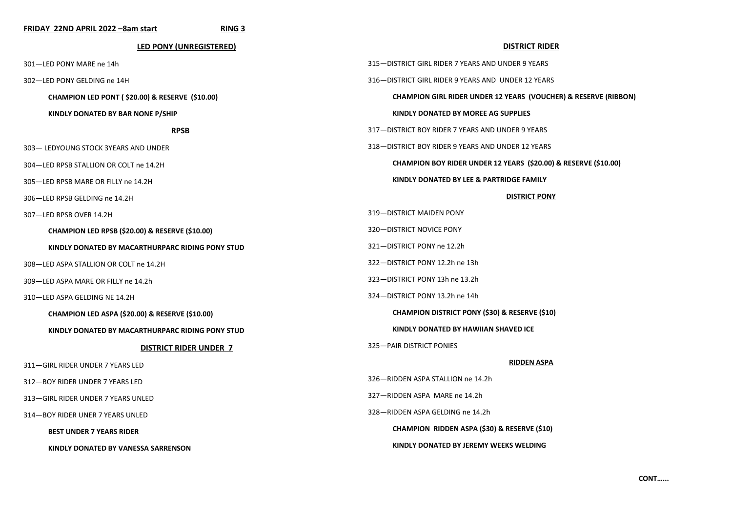| FRIDAY 22ND APRIL 2022 -8am start<br>RING 3                |                                                                            |
|------------------------------------------------------------|----------------------------------------------------------------------------|
| <b>LED PONY (UNREGISTERED)</b>                             | <b>DISTRICT RIDER</b>                                                      |
| 301-LED PONY MARE ne 14h                                   | 315-DISTRICT GIRL RIDER 7 YEARS AND UNDER 9 YEARS                          |
| 302-LED PONY GELDING ne 14H                                | 316-DISTRICT GIRL RIDER 9 YEARS AND UNDER 12 YEARS                         |
| CHAMPION LED PONT (\$20.00) & RESERVE (\$10.00)            | <b>CHAMPION GIRL RIDER UNDER 12 YEARS (VOUCHER) &amp; RESERVE (RIBBON)</b> |
| KINDLY DONATED BY BAR NONE P/SHIP                          | KINDLY DONATED BY MOREE AG SUPPLIES                                        |
| <b>RPSB</b>                                                | 317-DISTRICT BOY RIDER 7 YEARS AND UNDER 9 YEARS                           |
| 303- LEDYOUNG STOCK 3YEARS AND UNDER                       | 318-DISTRICT BOY RIDER 9 YEARS AND UNDER 12 YEARS                          |
| 304-LED RPSB STALLION OR COLT ne 14.2H                     | CHAMPION BOY RIDER UNDER 12 YEARS (\$20.00) & RESERVE (\$10.00)            |
| 305-LED RPSB MARE OR FILLY ne 14.2H                        | KINDLY DONATED BY LEE & PARTRIDGE FAMILY                                   |
| 306-LED RPSB GELDING ne 14.2H                              | <b>DISTRICT PONY</b>                                                       |
| 307-LED RPSB OVER 14.2H                                    | 319-DISTRICT MAIDEN PONY                                                   |
| CHAMPION LED RPSB (\$20.00) & RESERVE (\$10.00)            | 320-DISTRICT NOVICE PONY                                                   |
| KINDLY DONATED BY MACARTHURPARC RIDING PONY STUD           | 321-DISTRICT PONY ne 12.2h                                                 |
| 308-LED ASPA STALLION OR COLT ne 14.2H                     | 322-DISTRICT PONY 12.2h ne 13h                                             |
| 309-LED ASPA MARE OR FILLY ne 14.2h                        | 323-DISTRICT PONY 13h ne 13.2h                                             |
| 310-LED ASPA GELDING NE 14.2H                              | 324-DISTRICT PONY 13.2h ne 14h                                             |
| <b>CHAMPION LED ASPA (\$20.00) &amp; RESERVE (\$10.00)</b> | <b>CHAMPION DISTRICT PONY (\$30) &amp; RESERVE (\$10)</b>                  |
| KINDLY DONATED BY MACARTHURPARC RIDING PONY STUD           | KINDLY DONATED BY HAWIIAN SHAVED ICE                                       |
| <b>DISTRICT RIDER UNDER 7</b>                              | 325-PAIR DISTRICT PONIES                                                   |
| 311-GIRL RIDER UNDER 7 YEARS LED                           | <b>RIDDEN ASPA</b>                                                         |
| 312-BOY RIDER UNDER 7 YEARS LED                            | 326-RIDDEN ASPA STALLION ne 14.2h                                          |
| 313–GIRL RIDER UNDER 7 YEARS UNLED                         | 327-RIDDEN ASPA MARE ne 14.2h                                              |
| 314-BOY RIDER UNER 7 YEARS UNLED                           | 328-RIDDEN ASPA GELDING ne 14.2h                                           |
| <b>BEST UNDER 7 YEARS RIDER</b>                            | CHAMPION RIDDEN ASPA (\$30) & RESERVE (\$10)                               |
| KINDLY DONATED BY VANESSA SARRENSON                        | KINDLY DONATED BY JEREMY WEEKS WELDING                                     |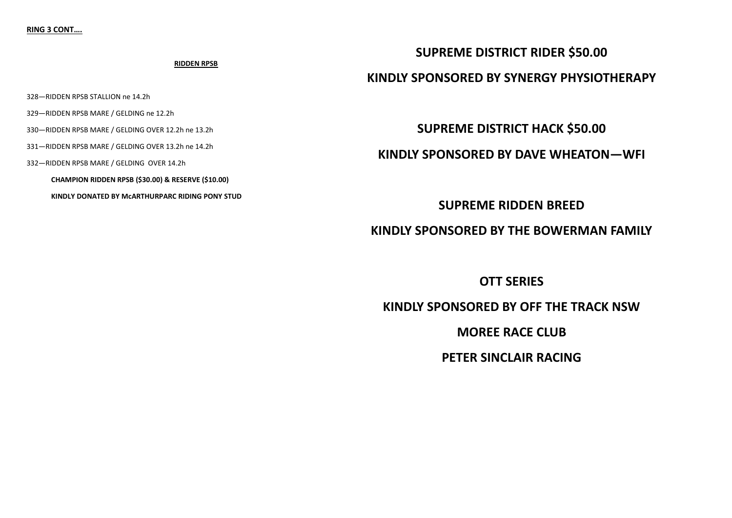### **RIDDEN RPSB**

328—RIDDEN RPSB STALLION ne 14.2h

329—RIDDEN RPSB MARE / GELDING ne 12.2h

330—RIDDEN RPSB MARE / GELDING OVER 12.2h ne 13.2h

331—RIDDEN RPSB MARE / GELDING OVER 13.2h ne 14.2h

332—RIDDEN RPSB MARE / GELDING OVER 14.2h

**CHAMPION RIDDEN RPSB (\$30.00) & RESERVE (\$10.00)**

**KINDLY DONATED BY McARTHURPARC RIDING PONY STUD**

## **SUPREME DISTRICT RIDER \$50.00**

## **KINDLY SPONSORED BY SYNERGY PHYSIOTHERAPY**

**SUPREME DISTRICT HACK \$50.00**

**KINDLY SPONSORED BY DAVE WHEATON—WFI**

**SUPREME RIDDEN BREED**

**KINDLY SPONSORED BY THE BOWERMAN FAMILY**

**OTT SERIES**

**KINDLY SPONSORED BY OFF THE TRACK NSW**

**MOREE RACE CLUB**

**PETER SINCLAIR RACING**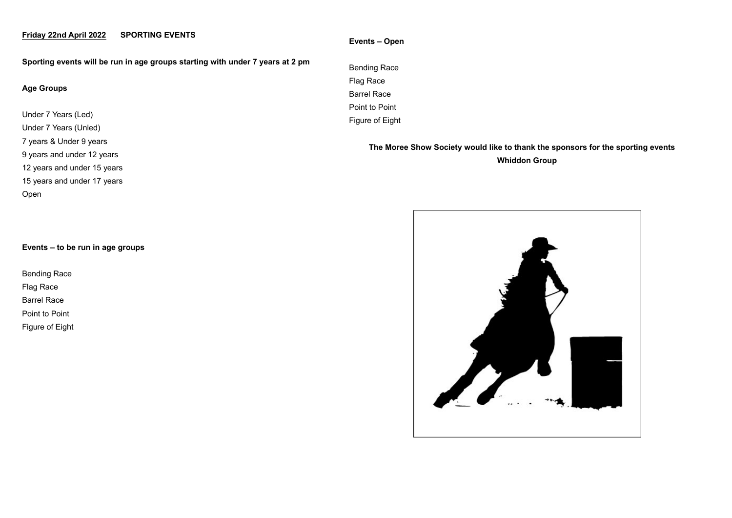## **Friday 22nd April 2022 SPORTING EVENTS**

**Sporting events will be run in age groups starting with under 7 years at 2 pm**

### **Age Groups**

Under 7 Years (Led) Under 7 Years (Unled) 7 years & Under 9 years 9 years and under 12 years 12 years and under 15 years 15 years and under 17 years Open

### **Events – to be run in age groups**

Bending Race Flag Race Barrel Race Point to Point

Figure of Eight

### **Events – Open**

Bending Race Flag Race Barrel Race Point to Point Figure of Eight

> **The Moree Show Society would like to thank the sponsors for the sporting events Whiddon Group**

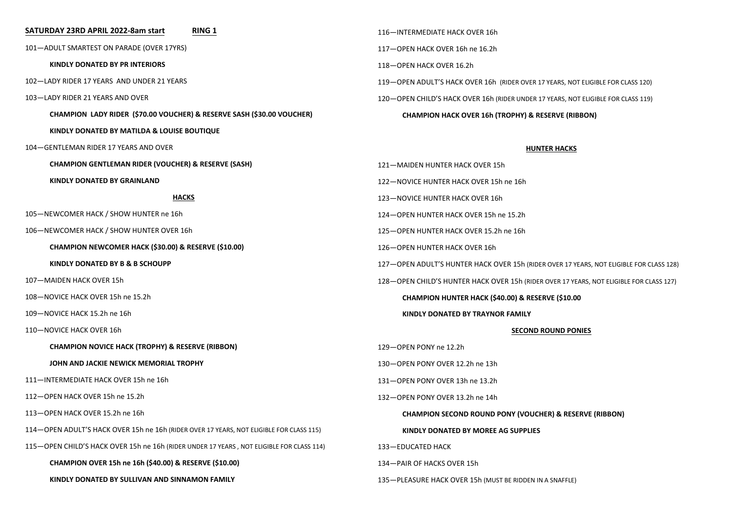### **SATURDAY 23RD APRIL 2022-8am start RING 1**

—ADULT SMARTEST ON PARADE (OVER 17YRS)

**KINDLY DONATED BY PR INTERIORS**

—LADY RIDER 17 YEARS AND UNDER 21 YEARS

—LADY RIDER 21 YEARS AND OVER

**CHAMPION LADY RIDER (\$70.00 VOUCHER) & RESERVE SASH (\$30.00 VOUCHER)**

**KINDLY DONATED BY MATILDA & LOUISE BOUTIQUE**

—GENTLEMAN RIDER 17 YEARS AND OVER

**CHAMPION GENTLEMAN RIDER (VOUCHER) & RESERVE (SASH)**

**KINDLY DONATED BY GRAINLAND**

### **HACKS**

—NEWCOMER HACK / SHOW HUNTER ne 16h

—NEWCOMER HACK / SHOW HUNTER OVER 16h

**CHAMPION NEWCOMER HACK (\$30.00) & RESERVE (\$10.00)**

**KINDLY DONATED BY B & B SCHOUPP**

—MAIDEN HACK OVER 15h

—NOVICE HACK OVER 15h ne 15.2h

—NOVICE HACK 15.2h ne 16h

—NOVICE HACK OVER 16h

**CHAMPION NOVICE HACK (TROPHY) & RESERVE (RIBBON)**

### **JOHN AND JACKIE NEWICK MEMORIAL TROPHY**

—INTERMEDIATE HACK OVER 15h ne 16h

—OPEN HACK OVER 15h ne 15.2h

—OPEN HACK OVER 15.2h ne 16h

—OPEN ADULT'S HACK OVER 15h ne 16h (RIDER OVER 17 YEARS, NOT ELIGIBLE FOR CLASS 115)

—OPEN CHILD'S HACK OVER 15h ne 16h (RIDER UNDER 17 YEARS , NOT ELIGIBLE FOR CLASS 114)

**CHAMPION OVER 15h ne 16h (\$40.00) & RESERVE (\$10.00)**

**KINDLY DONATED BY SULLIVAN AND SINNAMON FAMILY**

—INTERMEDIATE HACK OVER 16h —OPEN HACK OVER 16h ne 16.2h —OPEN HACK OVER 16.2h —OPEN ADULT'S HACK OVER 16h (RIDER OVER 17 YEARS, NOT ELIGIBLE FOR CLASS 120) —OPEN CHILD'S HACK OVER 16h (RIDER UNDER 17 YEARS, NOT ELIGIBLE FOR CLASS 119) **CHAMPION HACK OVER 16h (TROPHY) & RESERVE (RIBBON)**

### **HUNTER HACKS**

—MAIDEN HUNTER HACK OVER 15h —NOVICE HUNTER HACK OVER 15h ne 16h —NOVICE HUNTER HACK OVER 16h —OPEN HUNTER HACK OVER 15h ne 15.2h —OPEN HUNTER HACK OVER 15.2h ne 16h —OPEN HUNTER HACK OVER 16h —OPEN ADULT'S HUNTER HACK OVER 15h (RIDER OVER 17 YEARS, NOT ELIGIBLE FOR CLASS 128) —OPEN CHILD'S HUNTER HACK OVER 15h (RIDER OVER 17 YEARS, NOT ELIGIBLE FOR CLASS 127) **CHAMPION HUNTER HACK (\$40.00) & RESERVE (\$10.00 KINDLY DONATED BY TRAYNOR FAMILY SECOND ROUND PONIES** —OPEN PONY ne 12.2h —OPEN PONY OVER 12.2h ne 13h —OPEN PONY OVER 13h ne 13.2h —OPEN PONY OVER 13.2h ne 14h **CHAMPION SECOND ROUND PONY (VOUCHER) & RESERVE (RIBBON) KINDLY DONATED BY MOREE AG SUPPLIES** —EDUCATED HACK —PAIR OF HACKS OVER 15h —PLEASURE HACK OVER 15h (MUST BE RIDDEN IN A SNAFFLE)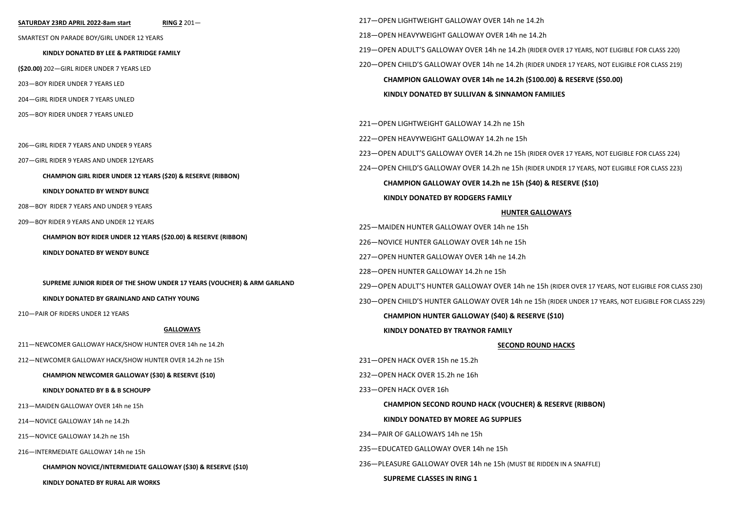#### **SATURDAY 23RD APRIL 2022-8am start RING 2** 201—

SMARTEST ON PARADE BOY/GIRL UNDER 12 YEARS

**KINDLY DONATED BY LEE & PARTRIDGE FAMILY** 

**(\$20.00)** 202—GIRL RIDER UNDER 7 YEARS LED

203—BOY RIDER UNDER 7 YEARS LED

204—GIRL RIDER UNDER 7 YEARS UNLED

205—BOY RIDER UNDER 7 YEARS UNLED

206—GIRL RIDER 7 YEARS AND UNDER 9 YEARS

207—GIRL RIDER 9 YEARS AND UNDER 12YEARS

**CHAMPION GIRL RIDER UNDER 12 YEARS (\$20) & RESERVE (RIBBON)**

**KINDLY DONATED BY WENDY BUNCE**

208—BOY RIDER 7 YEARS AND UNDER 9 YEARS

209—BOY RIDER 9 YEARS AND UNDER 12 YEARS

**CHAMPION BOY RIDER UNDER 12 YEARS (\$20.00) & RESERVE (RIBBON)**

**KINDLY DONATED BY WENDY BUNCE**

**SUPREME JUNIOR RIDER OF THE SHOW UNDER 17 YEARS (VOUCHER) & ARM GARLAND**

**KINDLY DONATED BY GRAINLAND AND CATHY YOUNG**

210—PAIR OF RIDERS UNDER 12 YEARS

#### **GALLOWAYS**

211—NEWCOMER GALLOWAY HACK/SHOW HUNTER OVER 14h ne 14.2h

212—NEWCOMER GALLOWAY HACK/SHOW HUNTER OVER 14.2h ne 15h

#### **CHAMPION NEWCOMER GALLOWAY (\$30) & RESERVE (\$10)**

**KINDLY DONATED BY B & B SCHOUPP**

213—MAIDEN GALLOWAY OVER 14h ne 15h

214—NOVICE GALLOWAY 14h ne 14.2h

215—NOVICE GALLOWAY 14.2h ne 15h

216—INTERMEDIATE GALLOWAY 14h ne 15h

**CHAMPION NOVICE/INTERMEDIATE GALLOWAY (\$30) & RESERVE (\$10)**

**KINDLY DONATED BY RURAL AIR WORKS** 

218—OPEN HEAVYWEIGHT GALLOWAY OVER 14h ne 14.2h 219—OPEN ADULT'S GALLOWAY OVER 14h ne 14.2h (RIDER OVER 17 YEARS, NOT ELIGIBLE FOR CLASS 220) 220—OPEN CHILD'S GALLOWAY OVER 14h ne 14.2h (RIDER UNDER 17 YEARS, NOT ELIGIBLE FOR CLASS 219) **CHAMPION GALLOWAY OVER 14h ne 14.2h (\$100.00) & RESERVE (\$50.00) KINDLY DONATED BY SULLIVAN & SINNAMON FAMILIES**

221—OPEN LIGHTWEIGHT GALLOWAY 14.2h ne 15h

217—OPEN LIGHTWEIGHT GALLOWAY OVER 14h ne 14.2h

222—OPEN HEAVYWEIGHT GALLOWAY 14.2h ne 15h

223—OPEN ADULT'S GALLOWAY OVER 14.2h ne 15h (RIDER OVER 17 YEARS, NOT ELIGIBLE FOR CLASS 224)

224—OPEN CHILD'S GALLOWAY OVER 14.2h ne 15h (RIDER UNDER 17 YEARS, NOT ELIGIBLE FOR CLASS 223)

**CHAMPION GALLOWAY OVER 14.2h ne 15h (\$40) & RESERVE (\$10)**

#### **KINDLY DONATED BY RODGERS FAMILY**

### **HUNTER GALLOWAYS**

225—MAIDEN HUNTER GALLOWAY OVER 14h ne 15h

226—NOVICE HUNTER GALLOWAY OVER 14h ne 15h

227—OPEN HUNTER GALLOWAY OVER 14h ne 14.2h

228—OPEN HUNTER GALLOWAY 14.2h ne 15h

229—OPEN ADULT'S HUNTER GALLOWAY OVER 14h ne 15h (RIDER OVER 17 YEARS, NOT ELIGIBLE FOR CLASS 230)

230—OPEN CHILD'S HUNTER GALLOWAY OVER 14h ne 15h (RIDER UNDER 17 YEARS, NOT ELIGIBLE FOR CLASS 229)

**CHAMPION HUNTER GALLOWAY (\$40) & RESERVE (\$10)**

**KINDLY DONATED BY TRAYNOR FAMILY** 

#### **SECOND ROUND HACKS**

231—OPEN HACK OVER 15h ne 15.2h 232—OPEN HACK OVER 15.2h ne 16h

233—OPEN HACK OVER 16h

**CHAMPION SECOND ROUND HACK (VOUCHER) & RESERVE (RIBBON)**

### **KINDLY DONATED BY MOREE AG SUPPLIES**

234—PAIR OF GALLOWAYS 14h ne 15h

235—EDUCATED GALLOWAY OVER 14h ne 15h

236—PLEASURE GALLOWAY OVER 14h ne 15h (MUST BE RIDDEN IN A SNAFFLE)

### **SUPREME CLASSES IN RING 1**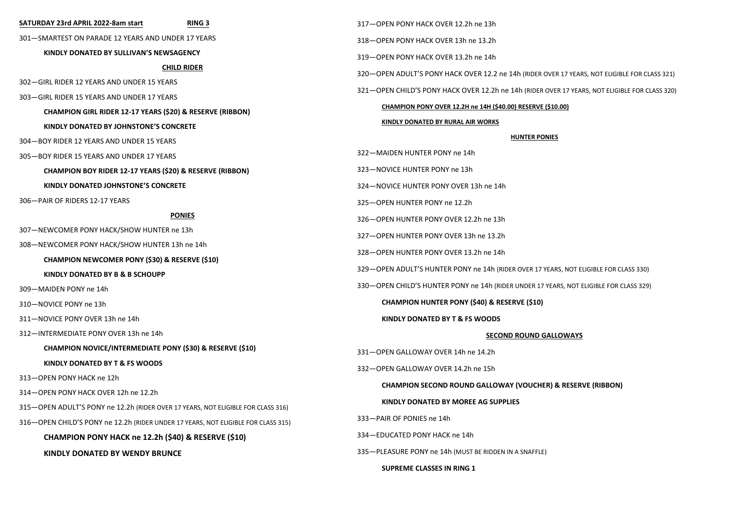| SATURDAY 23rd APRIL 2022-8am start<br><b>RING 3</b>                                                                                                                           | 317-OPEN PONY HACK OVER 12.2h ne 13h                                                            |  |
|-------------------------------------------------------------------------------------------------------------------------------------------------------------------------------|-------------------------------------------------------------------------------------------------|--|
| 301-SMARTEST ON PARADE 12 YEARS AND UNDER 17 YEARS                                                                                                                            | 318-OPEN PONY HACK OVER 13h ne 13.2h                                                            |  |
| KINDLY DONATED BY SULLIVAN'S NEWSAGENCY                                                                                                                                       | 319-OPEN PONY HACK OVER 13.2h ne 14h                                                            |  |
| <b>CHILD RIDER</b><br>302-GIRL RIDER 12 YEARS AND UNDER 15 YEARS<br>303 – GIRL RIDER 15 YEARS AND UNDER 17 YEARS<br>CHAMPION GIRL RIDER 12-17 YEARS (\$20) & RESERVE (RIBBON) | 320 - OPEN ADULT'S PONY HACK OVER 12.2 ne 14h (RIDER OVER 17 YEARS, NOT ELIGIBLE FOR CLASS 321) |  |
|                                                                                                                                                                               | 321-OPEN CHILD'S PONY HACK OVER 12.2h ne 14h (RIDER OVER 17 YEARS, NOT ELIGIBLE FOR CLASS 320)  |  |
|                                                                                                                                                                               |                                                                                                 |  |
|                                                                                                                                                                               | CHAMPION PONY OVER 12.2H ne 14H (\$40.00) RESERVE (\$10.00)                                     |  |
| KINDLY DONATED BY JOHNSTONE'S CONCRETE                                                                                                                                        | KINDLY DONATED BY RURAL AIR WORKS                                                               |  |
| 304-BOY RIDER 12 YEARS AND UNDER 15 YEARS                                                                                                                                     | <b>HUNTER PONIES</b>                                                                            |  |
| 305-BOY RIDER 15 YEARS AND UNDER 17 YEARS                                                                                                                                     | 322-MAIDEN HUNTER PONY ne 14h                                                                   |  |
| CHAMPION BOY RIDER 12-17 YEARS (\$20) & RESERVE (RIBBON)                                                                                                                      | 323-NOVICE HUNTER PONY ne 13h                                                                   |  |
| KINDLY DONATED JOHNSTONE'S CONCRETE                                                                                                                                           | 324-NOVICE HUNTER PONY OVER 13h ne 14h                                                          |  |
| 306-PAIR OF RIDERS 12-17 YEARS                                                                                                                                                | 325-OPEN HUNTER PONY ne 12.2h                                                                   |  |
| <b>PONIES</b>                                                                                                                                                                 | 326-OPEN HUNTER PONY OVER 12.2h ne 13h                                                          |  |
| 307-NEWCOMER PONY HACK/SHOW HUNTER ne 13h<br>308-NEWCOMER PONY HACK/SHOW HUNTER 13h ne 14h<br>CHAMPION NEWCOMER PONY (\$30) & RESERVE (\$10)                                  | 327-OPEN HUNTER PONY OVER 13h ne 13.2h                                                          |  |
|                                                                                                                                                                               | 328-OPEN HUNTER PONY OVER 13.2h ne 14h                                                          |  |
|                                                                                                                                                                               |                                                                                                 |  |
| KINDLY DONATED BY B & B SCHOUPP                                                                                                                                               | 329-OPEN ADULT'S HUNTER PONY ne 14h (RIDER OVER 17 YEARS, NOT ELIGIBLE FOR CLASS 330)           |  |
| 309-MAIDEN PONY ne 14h                                                                                                                                                        | 330 - OPEN CHILD'S HUNTER PONY ne 14h (RIDER UNDER 17 YEARS, NOT ELIGIBLE FOR CLASS 329)        |  |
| 310-NOVICE PONY ne 13h                                                                                                                                                        | CHAMPION HUNTER PONY (\$40) & RESERVE (\$10)                                                    |  |
| 311-NOVICE PONY OVER 13h ne 14h                                                                                                                                               | KINDLY DONATED BY T & FS WOODS                                                                  |  |
| 312-INTERMEDIATE PONY OVER 13h ne 14h                                                                                                                                         | <b>SECOND ROUND GALLOWAYS</b>                                                                   |  |
| CHAMPION NOVICE/INTERMEDIATE PONY (\$30) & RESERVE (\$10)                                                                                                                     | 331-OPEN GALLOWAY OVER 14h ne 14.2h                                                             |  |
| KINDLY DONATED BY T & FS WOODS                                                                                                                                                | 332-OPEN GALLOWAY OVER 14.2h ne 15h                                                             |  |
| 313-OPEN PONY HACK ne 12h                                                                                                                                                     | <b>CHAMPION SECOND ROUND GALLOWAY (VOUCHER) &amp; RESERVE (RIBBON)</b>                          |  |
| 314 – OPEN PONY HACK OVER 12h ne 12.2h                                                                                                                                        |                                                                                                 |  |
| 315 OPEN ADULT'S PONY ne 12.2h (RIDER OVER 17 YEARS, NOT ELIGIBLE FOR CLASS 316)                                                                                              | KINDLY DONATED BY MOREE AG SUPPLIES                                                             |  |
| 316 - OPEN CHILD'S PONY ne 12.2h (RIDER UNDER 17 YEARS, NOT ELIGIBLE FOR CLASS 315)                                                                                           | 333-PAIR OF PONIES ne 14h                                                                       |  |
| CHAMPION PONY HACK ne 12.2h (\$40) & RESERVE (\$10)                                                                                                                           | 334-EDUCATED PONY HACK ne 14h                                                                   |  |
| <b>KINDLY DONATED BY WENDY BRUNCE</b>                                                                                                                                         | 335 - PLEASURE PONY ne 14h (MUST BE RIDDEN IN A SNAFFLE)                                        |  |
|                                                                                                                                                                               | <b>SUPREME CLASSES IN RING 1</b>                                                                |  |